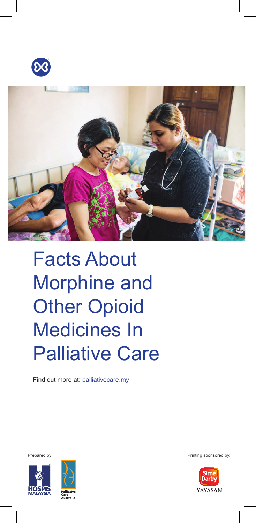



# Facts About Morphine and **Other Opioid** Medicines In Palliative Care

Find out more at: palliativecare.my

Prepared by:





Printing sponsored by:

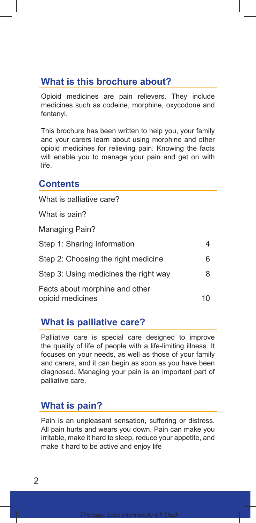## **What is this brochure about?**

Opioid medicines are pain relievers. They include medicines such as codeine, morphine, oxycodone and fentanyl.

This brochure has been written to help you, your family and your carers learn about using morphine and other opioid medicines for relieving pain. Knowing the facts will enable you to manage your pain and get on with life.

#### **Contents**

| What is palliative care?                           |    |
|----------------------------------------------------|----|
| What is pain?                                      |    |
| Managing Pain?                                     |    |
| Step 1: Sharing Information                        | 4  |
| Step 2: Choosing the right medicine                | 6  |
| Step 3: Using medicines the right way              | 8  |
| Facts about morphine and other<br>opioid medicines | 10 |

# **What is palliative care?**

Palliative care is special care designed to improve the quality of life of people with a life-limiting illness. It focuses on your needs, as well as those of your family and carers, and it can begin as soon as you have been diagnosed. Managing your pain is an important part of palliative care.

# **What is pain?**

Pain is an unpleasant sensation, suffering or distress. All pain hurts and wears you down. Pain can make you irritable, make it hard to sleep, reduce your appetite, and make it hard to be active and enjoy life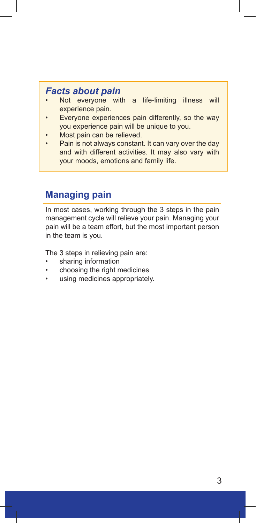## *Facts about pain*

- Not everyone with a life-limiting illness will experience pain.
- Everyone experiences pain differently, so the way you experience pain will be unique to you.
- Most pain can be relieved.
- Pain is not always constant. It can vary over the day and with different activities. It may also vary with your moods, emotions and family life.

# **Managing pain**

In most cases, working through the 3 steps in the pain management cycle will relieve your pain. Managing your pain will be a team effort, but the most important person in the team is you.

The 3 steps in relieving pain are:

- sharing information
- • choosing the right medicines
- • using medicines appropriately.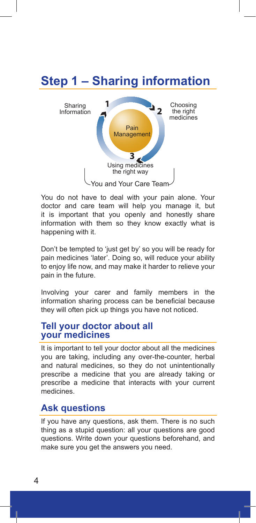# **Step 1 – Sharing information**



You do not have to deal with your pain alone. Your doctor and care team will help you manage it, but it is important that you openly and honestly share information with them so they know exactly what is happening with it.

Don't be tempted to 'just get by' so you will be ready for pain medicines 'later'. Doing so, will reduce your ability to enjoy life now, and may make it harder to relieve your pain in the future.

Involving your carer and family members in the information sharing process can be beneficial because they will often pick up things you have not noticed.

#### **Tell your doctor about all your medicines**

It is important to tell your doctor about all the medicines you are taking, including any over-the-counter, herbal and natural medicines, so they do not unintentionally prescribe a medicine that you are already taking or prescribe a medicine that interacts with your current medicines.

## **Ask questions**

If you have any questions, ask them. There is no such thing as a stupid question: all your questions are good questions. Write down your questions beforehand, and make sure you get the answers you need.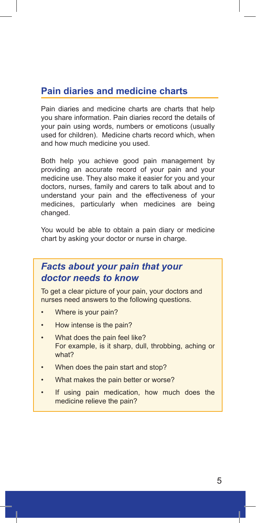## **Pain diaries and medicine charts**

Pain diaries and medicine charts are charts that help you share information. Pain diaries record the details of your pain using words, numbers or emoticons (usually used for children). Medicine charts record which, when and how much medicine you used.

Both help you achieve good pain management by providing an accurate record of your pain and your medicine use. They also make it easier for you and your doctors, nurses, family and carers to talk about and to understand your pain and the effectiveness of your medicines, particularly when medicines are being changed.

You would be able to obtain a pain diary or medicine chart by asking your doctor or nurse in charge.

## *Facts about your pain that your doctor needs to know*

To get a clear picture of your pain, your doctors and nurses need answers to the following questions.

- Where is your pain?
- How intense is the pain?
- What does the pain feel like? For example, is it sharp, dull, throbbing, aching or what?
- When does the pain start and stop?
- What makes the pain better or worse?
- If using pain medication, how much does the medicine relieve the pain?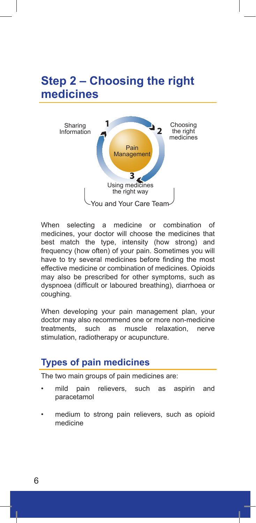# **Step 2 – Choosing the right medicines**



When selecting a medicine or combination of medicines, your doctor will choose the medicines that best match the type, intensity (how strong) and frequency (how often) of your pain. Sometimes you will have to try several medicines before finding the most effective medicine or combination of medicines. Opioids may also be prescribed for other symptoms, such as dyspnoea (difficult or laboured breathing), diarrhoea or coughing.

When developing your pain management plan, your doctor may also recommend one or more non-medicine treatments, such as muscle relaxation, nerve stimulation, radiotherapy or acupuncture.

## **Types of pain medicines**

The two main groups of pain medicines are:

- mild pain relievers, such as aspirin and paracetamol
- medium to strong pain relievers, such as opioid medicine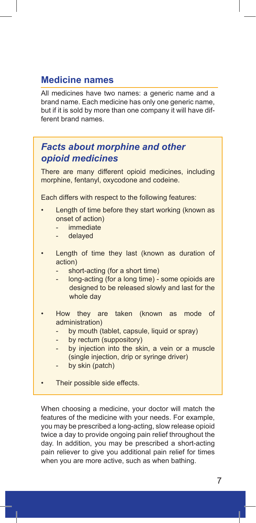# **Medicine names**

All medicines have two names: a generic name and a brand name. Each medicine has only one generic name, but if it is sold by more than one company it will have different brand names.

# *Facts about morphine and other opioid medicines*

There are many different opioid medicines, including morphine, fentanyl, oxycodone and codeine.

Each differs with respect to the following features:

- Length of time before they start working (known as onset of action)
	- immediate
	- delayed
- Length of time they last (known as duration of action)
	- short-acting (for a short time)
		- long-acting (for a long time) some opioids are designed to be released slowly and last for the whole day
- How they are taken (known as mode of administration)
	- by mouth (tablet, capsule, liquid or spray)
	- by rectum (suppository)
	- by injection into the skin, a vein or a muscle (single injection, drip or syringe driver)
	- by skin (patch)
- Their possible side effects.

When choosing a medicine, your doctor will match the features of the medicine with your needs. For example, you may be prescribed a long-acting, slow release opioid twice a day to provide ongoing pain relief throughout the day. In addition, you may be prescribed a short-acting pain reliever to give you additional pain relief for times when you are more active, such as when bathing.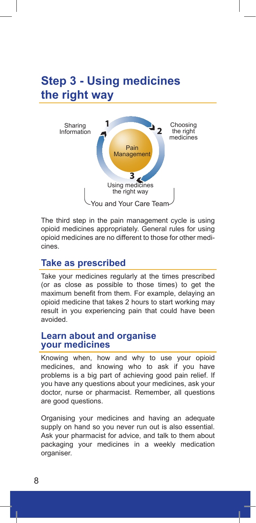# **Step 3 - Using medicines the right way**



The third step in the pain management cycle is using opioid medicines appropriately. General rules for using opioid medicines are no different to those for other medicines.

#### **Take as prescribed**

Take your medicines regularly at the times prescribed (or as close as possible to those times) to get the maximum benefit from them. For example, delaying an opioid medicine that takes 2 hours to start working may result in you experiencing pain that could have been avoided.

#### **Learn about and organise your medicines**

Knowing when, how and why to use your opioid medicines, and knowing who to ask if you have problems is a big part of achieving good pain relief. If you have any questions about your medicines, ask your doctor, nurse or pharmacist. Remember, all questions are good questions.

Organising your medicines and having an adequate supply on hand so you never run out is also essential. Ask your pharmacist for advice, and talk to them about packaging your medicines in a weekly medication organiser.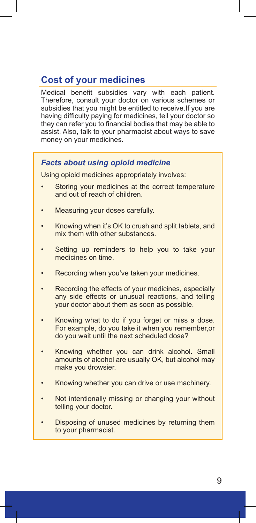# **Cost of your medicines**

Medical benefit subsidies vary with each patient. Therefore, consult your doctor on various schemes or subsidies that you might be entitled to receive.If you are having difficulty paying for medicines, tell your doctor so they can refer you to financial bodies that may be able to assist. Also, talk to your pharmacist about ways to save money on your medicines.

#### *Facts about using opioid medicine*

Using opioid medicines appropriately involves:

- Storing your medicines at the correct temperature and out of reach of children.
- Measuring your doses carefully.
- Knowing when it's OK to crush and split tablets, and mix them with other substances.
- Setting up reminders to help you to take your medicines on time.
- Recording when you've taken your medicines.
- Recording the effects of your medicines, especially any side effects or unusual reactions, and telling your doctor about them as soon as possible.
- Knowing what to do if you forget or miss a dose. For example, do you take it when you remember,or do you wait until the next scheduled dose?
- Knowing whether you can drink alcohol. Small amounts of alcohol are usually OK, but alcohol may make you drowsier.
- Knowing whether you can drive or use machinery.
- Not intentionally missing or changing your without telling your doctor.
- Disposing of unused medicines by returning them to your pharmacist.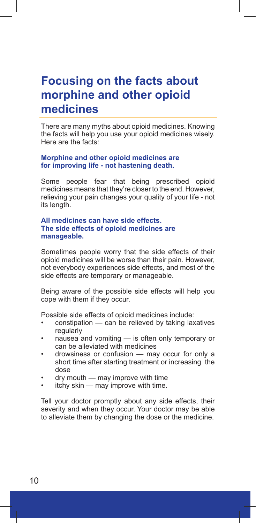# **Focusing on the facts about morphine and other opioid medicines**

There are many myths about opioid medicines. Knowing the facts will help you use your opioid medicines wisely. Here are the facts:

#### **Morphine and other opioid medicines are for improving life - not hastening death.**

Some people fear that being prescribed opioid medicines means that they're closer to the end. However, relieving your pain changes your quality of your life - not its length.

#### **All medicines can have side effects. The side effects of opioid medicines are manageable.**

Sometimes people worry that the side effects of their opioid medicines will be worse than their pain. However, not everybody experiences side effects, and most of the side effects are temporary or manageable.

Being aware of the possible side effects will help you cope with them if they occur.

Possible side effects of opioid medicines include:

- $\alpha$  constipation  $\alpha$  can be relieved by taking laxatives regularly
- nausea and vomiting  $-$  is often only temporary or can be alleviated with medicines
- drowsiness or confusion  $-$  may occur for only a short time after starting treatment or increasing the dose
- dry mouth may improve with time
- $itchy$  skin  $-$  may improve with time.

Tell your doctor promptly about any side effects, their severity and when they occur. Your doctor may be able to alleviate them by changing the dose or the medicine.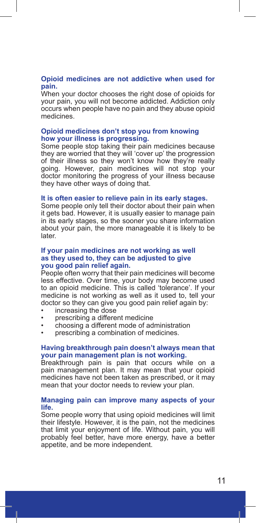#### **Opioid medicines are not addictive when used for pain.**

When your doctor chooses the right dose of opioids for your pain, you will not become addicted. Addiction only occurs when people have no pain and they abuse opioid medicines.

#### **Opioid medicines don't stop you from knowing how your illness is progressing.**

Some people stop taking their pain medicines because they are worried that they will 'cover up' the progression of their illness so they won't know how they're really going. However, pain medicines will not stop your doctor monitoring the progress of your illness because they have other ways of doing that.

#### **It is often easier to relieve pain in its early stages.**

Some people only tell their doctor about their pain when it gets bad. However, it is usually easier to manage pain in its early stages, so the sooner you share information about your pain, the more manageable it is likely to be later.

#### **If your pain medicines are not working as well as they used to, they can be adjusted to give you good pain relief again.**

People often worry that their pain medicines will become less effective. Over time, your body may become used to an opioid medicine. This is called 'tolerance'. If your medicine is not working as well as it used to, tell your doctor so they can give you good pain relief again by:

- increasing the dose
- prescribing a different medicine
- choosing a different mode of administration
- prescribing a combination of medicines.

#### **Having breakthrough pain doesn't always mean that your pain management plan is not working.**

Breakthrough pain is pain that occurs while on a pain management plan. It may mean that your opioid medicines have not been taken as prescribed, or it may mean that your doctor needs to review your plan.

#### **Managing pain can improve many aspects of your life.**

Some people worry that using opioid medicines will limit their lifestyle. However, it is the pain, not the medicines that limit your enjoyment of life. Without pain, you will probably feel better, have more energy, have a better appetite, and be more independent.